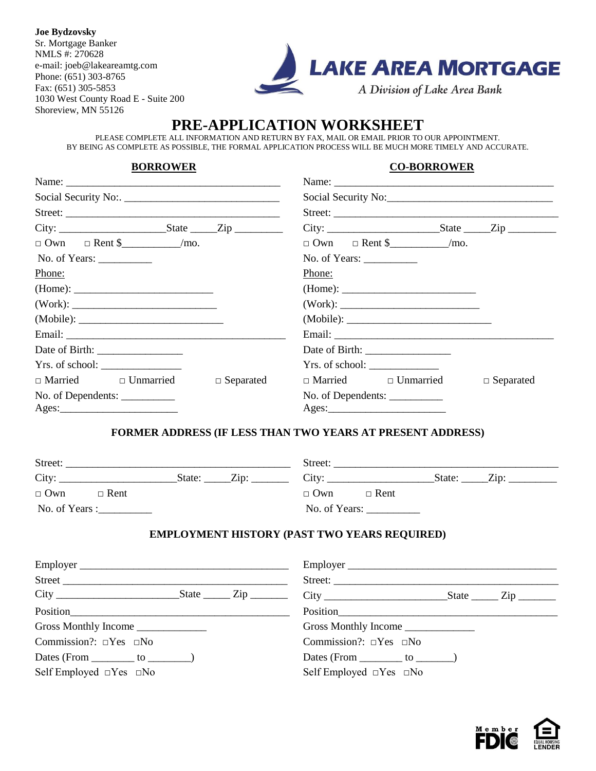**Joe Bydzovsky** Sr. Mortgage Banker NMLS #: 270628 e-mail: joeb@lakeareamtg.com Phone: (651) 303-8765 Fax: (651) 305-5853 1030 West County Road E - Suite 200 Shoreview, MN 55126



# **PRE-APPLICATION WORKSHEET**

PLEASE COMPLETE ALL INFORMATION AND RETURN BY FAX, MAIL OR EMAIL PRIOR TO OUR APPOINTMENT. BY BEING AS COMPLETE AS POSSIBLE, THE FORMAL APPLICATION PROCESS WILL BE MUCH MORE TIMELY AND ACCURATE.

#### **BORROWER CO-BORROWER**

| Name: $\frac{1}{2}$             |                  | Name:                           |                  |  |
|---------------------------------|------------------|---------------------------------|------------------|--|
|                                 |                  |                                 |                  |  |
|                                 |                  | Street:                         |                  |  |
|                                 |                  | $City:$ State $Zip$             |                  |  |
|                                 |                  | $\Box$ Own $\Box$ Rent \$ /mo.  |                  |  |
| No. of Years: $\frac{\ }{\ }$   |                  | No. of Years: $\frac{\ }{\ }$   |                  |  |
| Phone:                          |                  | Phone:                          |                  |  |
| (Home):                         |                  |                                 |                  |  |
|                                 |                  |                                 |                  |  |
|                                 |                  |                                 |                  |  |
|                                 |                  |                                 |                  |  |
|                                 |                  |                                 |                  |  |
| Yrs. of school:                 |                  |                                 |                  |  |
| $\Box$ Married $\Box$ Unmarried | $\Box$ Separated | $\Box$ Married $\Box$ Unmarried | $\Box$ Separated |  |
| No. of Dependents: ___________  |                  |                                 |                  |  |
| $\text{Ages:}\n \qquad \qquad$  |                  |                                 |                  |  |

#### **FORMER ADDRESS (IF LESS THAN TWO YEARS AT PRESENT ADDRESS)**

| Street:                   |                | Street:                   |  |
|---------------------------|----------------|---------------------------|--|
| City:                     | Zip:<br>State: | City:<br>Zip:<br>State:   |  |
| $\Box$ Own<br>$\Box$ Rent |                | $\Box$ Own<br>$\Box$ Rent |  |
| No. of Years :            |                | No. of Years:             |  |

### **EMPLOYMENT HISTORY (PAST TWO YEARS REQUIRED)**

| Employer                                |  | Employer                                |  |
|-----------------------------------------|--|-----------------------------------------|--|
|                                         |  |                                         |  |
|                                         |  |                                         |  |
| Position                                |  |                                         |  |
| Gross Monthly Income ________________   |  | Gross Monthly Income                    |  |
| Commission?: $\square$ Yes $\square$ No |  | Commission?: $\square$ Yes $\square$ No |  |
| Dates (From $\_\_\_\_$ to $\_\_\_\_\_$  |  | Dates (From $\_\_\_\_$ to $\_\_\_\_$    |  |
| Self Employed $\Box$ Yes $\Box$ No      |  | Self Employed $\Box$ Yes $\Box$ No      |  |